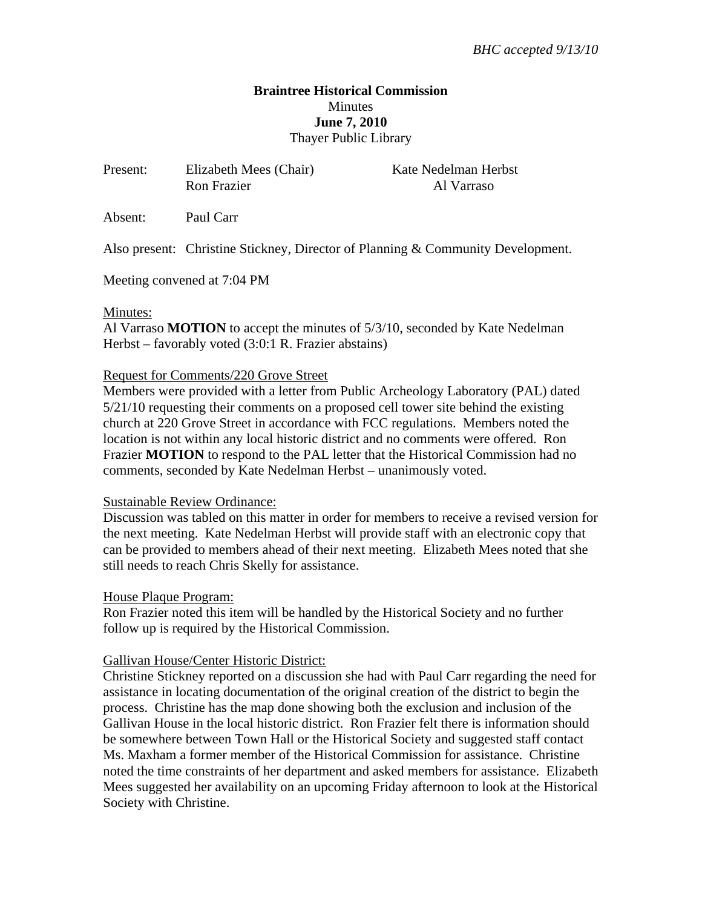# **Braintree Historical Commission Minutes June 7, 2010**  Thayer Public Library

| Present: | Elizabeth Mees (Chair)<br><b>Ron Frazier</b> | Kate Nedelman Herbst<br>Al Varraso |
|----------|----------------------------------------------|------------------------------------|
| Absent:  | Paul Carr                                    |                                    |

Also present: Christine Stickney, Director of Planning & Community Development.

Meeting convened at 7:04 PM

### Minutes:

Al Varraso **MOTION** to accept the minutes of 5/3/10, seconded by Kate Nedelman Herbst – favorably voted (3:0:1 R. Frazier abstains)

### Request for Comments/220 Grove Street

Members were provided with a letter from Public Archeology Laboratory (PAL) dated 5/21/10 requesting their comments on a proposed cell tower site behind the existing church at 220 Grove Street in accordance with FCC regulations. Members noted the location is not within any local historic district and no comments were offered. Ron Frazier **MOTION** to respond to the PAL letter that the Historical Commission had no comments, seconded by Kate Nedelman Herbst – unanimously voted.

## Sustainable Review Ordinance:

Discussion was tabled on this matter in order for members to receive a revised version for the next meeting. Kate Nedelman Herbst will provide staff with an electronic copy that can be provided to members ahead of their next meeting. Elizabeth Mees noted that she still needs to reach Chris Skelly for assistance.

## House Plaque Program:

Ron Frazier noted this item will be handled by the Historical Society and no further follow up is required by the Historical Commission.

## Gallivan House/Center Historic District:

Christine Stickney reported on a discussion she had with Paul Carr regarding the need for assistance in locating documentation of the original creation of the district to begin the process. Christine has the map done showing both the exclusion and inclusion of the Gallivan House in the local historic district. Ron Frazier felt there is information should be somewhere between Town Hall or the Historical Society and suggested staff contact Ms. Maxham a former member of the Historical Commission for assistance. Christine noted the time constraints of her department and asked members for assistance. Elizabeth Mees suggested her availability on an upcoming Friday afternoon to look at the Historical Society with Christine.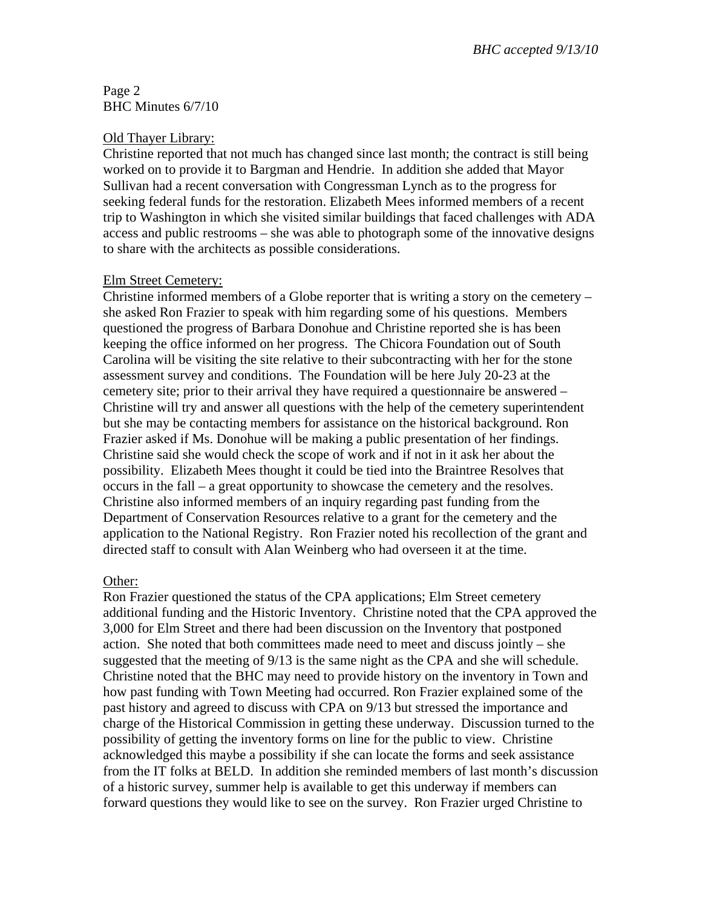## Page 2 BHC Minutes 6/7/10

### Old Thayer Library:

Christine reported that not much has changed since last month; the contract is still being worked on to provide it to Bargman and Hendrie. In addition she added that Mayor Sullivan had a recent conversation with Congressman Lynch as to the progress for seeking federal funds for the restoration. Elizabeth Mees informed members of a recent trip to Washington in which she visited similar buildings that faced challenges with ADA access and public restrooms – she was able to photograph some of the innovative designs to share with the architects as possible considerations.

## Elm Street Cemetery:

Christine informed members of a Globe reporter that is writing a story on the cemetery – she asked Ron Frazier to speak with him regarding some of his questions. Members questioned the progress of Barbara Donohue and Christine reported she is has been keeping the office informed on her progress. The Chicora Foundation out of South Carolina will be visiting the site relative to their subcontracting with her for the stone assessment survey and conditions. The Foundation will be here July 20-23 at the cemetery site; prior to their arrival they have required a questionnaire be answered – Christine will try and answer all questions with the help of the cemetery superintendent but she may be contacting members for assistance on the historical background. Ron Frazier asked if Ms. Donohue will be making a public presentation of her findings. Christine said she would check the scope of work and if not in it ask her about the possibility. Elizabeth Mees thought it could be tied into the Braintree Resolves that occurs in the fall – a great opportunity to showcase the cemetery and the resolves. Christine also informed members of an inquiry regarding past funding from the Department of Conservation Resources relative to a grant for the cemetery and the application to the National Registry. Ron Frazier noted his recollection of the grant and directed staff to consult with Alan Weinberg who had overseen it at the time.

## Other:

Ron Frazier questioned the status of the CPA applications; Elm Street cemetery additional funding and the Historic Inventory. Christine noted that the CPA approved the 3,000 for Elm Street and there had been discussion on the Inventory that postponed action. She noted that both committees made need to meet and discuss jointly – she suggested that the meeting of 9/13 is the same night as the CPA and she will schedule. Christine noted that the BHC may need to provide history on the inventory in Town and how past funding with Town Meeting had occurred. Ron Frazier explained some of the past history and agreed to discuss with CPA on 9/13 but stressed the importance and charge of the Historical Commission in getting these underway. Discussion turned to the possibility of getting the inventory forms on line for the public to view. Christine acknowledged this maybe a possibility if she can locate the forms and seek assistance from the IT folks at BELD. In addition she reminded members of last month's discussion of a historic survey, summer help is available to get this underway if members can forward questions they would like to see on the survey. Ron Frazier urged Christine to